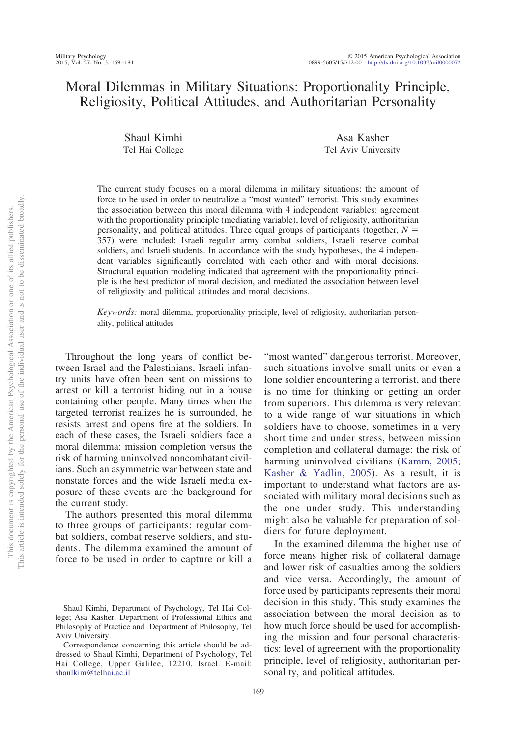# Moral Dilemmas in Military Situations: Proportionality Principle, Religiosity, Political Attitudes, and Authoritarian Personality

Shaul Kimhi Tel Hai College

Asa Kasher Tel Aviv University

The current study focuses on a moral dilemma in military situations: the amount of force to be used in order to neutralize a "most wanted" terrorist. This study examines the association between this moral dilemma with 4 independent variables: agreement with the proportionality principle (mediating variable), level of religiosity, authoritarian personality, and political attitudes. Three equal groups of participants (together,  $N =$ 357) were included: Israeli regular army combat soldiers, Israeli reserve combat soldiers, and Israeli students. In accordance with the study hypotheses, the 4 independent variables significantly correlated with each other and with moral decisions. Structural equation modeling indicated that agreement with the proportionality principle is the best predictor of moral decision, and mediated the association between level of religiosity and political attitudes and moral decisions.

*Keywords:* moral dilemma, proportionality principle, level of religiosity, authoritarian personality, political attitudes

Throughout the long years of conflict between Israel and the Palestinians, Israeli infantry units have often been sent on missions to arrest or kill a terrorist hiding out in a house containing other people. Many times when the targeted terrorist realizes he is surrounded, he resists arrest and opens fire at the soldiers. In each of these cases, the Israeli soldiers face a moral dilemma: mission completion versus the risk of harming uninvolved noncombatant civilians. Such an asymmetric war between state and nonstate forces and the wide Israeli media exposure of these events are the background for the current study.

The authors presented this moral dilemma to three groups of participants: regular combat soldiers, combat reserve soldiers, and students. The dilemma examined the amount of force to be used in order to capture or kill a

"most wanted" dangerous terrorist. Moreover, such situations involve small units or even a lone soldier encountering a terrorist, and there is no time for thinking or getting an order from superiors. This dilemma is very relevant to a wide range of war situations in which soldiers have to choose, sometimes in a very short time and under stress, between mission completion and collateral damage: the risk of harming uninvolved civilians [\(Kamm, 2005;](#page-13-0) [Kasher & Yadlin, 2005\)](#page-13-1). As a result, it is important to understand what factors are associated with military moral decisions such as the one under study. This understanding might also be valuable for preparation of soldiers for future deployment.

In the examined dilemma the higher use of force means higher risk of collateral damage and lower risk of casualties among the soldiers and vice versa. Accordingly, the amount of force used by participants represents their moral decision in this study. This study examines the association between the moral decision as to how much force should be used for accomplishing the mission and four personal characteristics: level of agreement with the proportionality principle, level of religiosity, authoritarian personality, and political attitudes.

Shaul Kimhi, Department of Psychology, Tel Hai College; Asa Kasher, Department of Professional Ethics and Philosophy of Practice and Department of Philosophy, Tel Aviv University.

Correspondence concerning this article should be addressed to Shaul Kimhi, Department of Psychology, Tel Hai College, Upper Galilee, 12210, Israel. E-mail: [shaulkim@telhai.ac.il](mailto:shaulkim@telhai.ac.il)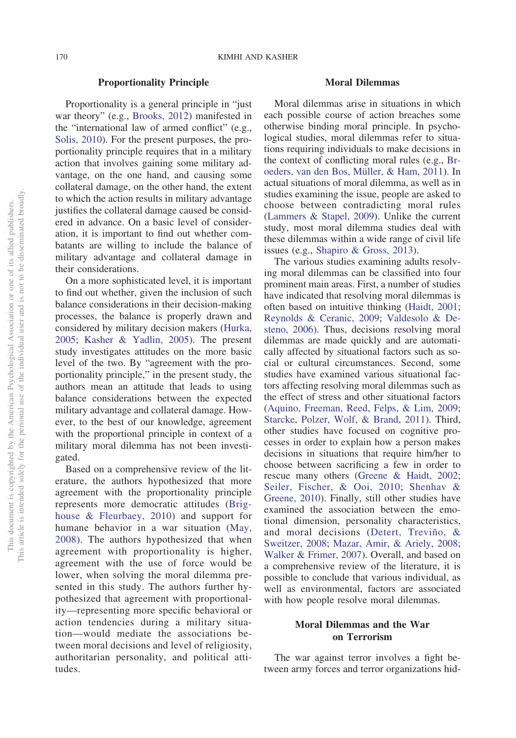#### **Proportionality Principle**

Proportionality is a general principle in "just war theory" (e.g., [Brooks, 2012\)](#page-12-0) manifested in the "international law of armed conflict" (e.g., [Solis, 2010\)](#page-14-0). For the present purposes, the proportionality principle requires that in a military action that involves gaining some military advantage, on the one hand, and causing some collateral damage, on the other hand, the extent to which the action results in military advantage justifies the collateral damage caused be considered in advance. On a basic level of consideration, it is important to find out whether combatants are willing to include the balance of military advantage and collateral damage in their considerations.

On a more sophisticated level, it is important to find out whether, given the inclusion of such balance considerations in their decision-making processes, the balance is properly drawn and considered by military decision makers [\(Hurka,](#page-13-2) [2005;](#page-13-2) [Kasher & Yadlin, 2005\)](#page-13-1). The present study investigates attitudes on the more basic level of the two. By "agreement with the proportionality principle," in the present study, the authors mean an attitude that leads to using balance considerations between the expected military advantage and collateral damage. However, to the best of our knowledge, agreement with the proportional principle in context of a military moral dilemma has not been investigated.

Based on a comprehensive review of the literature, the authors hypothesized that more agreement with the proportionality principle represents more democratic attitudes [\(Brig](#page-12-1)[house & Fleurbaey, 2010\)](#page-12-1) and support for humane behavior in a war situation [\(May,](#page-13-3) [2008\)](#page-13-3). The authors hypothesized that when agreement with proportionality is higher, agreement with the use of force would be lower, when solving the moral dilemma presented in this study. The authors further hypothesized that agreement with proportionality—representing more specific behavioral or action tendencies during a military situation—would mediate the associations between moral decisions and level of religiosity, authoritarian personality, and political attitudes.

# **Moral Dilemmas**

Moral dilemmas arise in situations in which each possible course of action breaches some otherwise binding moral principle. In psychological studies, moral dilemmas refer to situations requiring individuals to make decisions in the context of conflicting moral rules (e.g., [Br](#page-12-2)[oeders, van den Bos, Müller, & Ham, 2011\)](#page-12-2). In actual situations of moral dilemma, as well as in studies examining the issue, people are asked to choose between contradicting moral rules [\(Lammers & Stapel, 2009\)](#page-13-4). Unlike the current study, most moral dilemma studies deal with these dilemmas within a wide range of civil life issues (e.g., [Shapiro & Gross, 2013\)](#page-14-1).

The various studies examining adults resolving moral dilemmas can be classified into four prominent main areas. First, a number of studies have indicated that resolving moral dilemmas is often based on intuitive thinking [\(Haidt, 2001;](#page-13-5) [Reynolds & Ceranic, 2009;](#page-13-6) [Valdesolo & De](#page-14-2)[steno, 2006\)](#page-14-2). Thus, decisions resolving moral dilemmas are made quickly and are automatically affected by situational factors such as social or cultural circumstances. Second, some studies have examined various situational factors affecting resolving moral dilemmas such as the effect of stress and other situational factors [\(Aquino, Freeman, Reed, Felps, & Lim, 2009;](#page-12-3) [Starcke, Polzer, Wolf, & Brand, 2011\)](#page-14-3). Third, other studies have focused on cognitive processes in order to explain how a person makes decisions in situations that require him/her to choose between sacrificing a few in order to rescue many others [\(Greene & Haidt, 2002;](#page-13-7) [Seiler, Fischer, & Ooi, 2010;](#page-14-4) [Shenhav &](#page-14-5) [Greene, 2010\)](#page-14-5). Finally, still other studies have examined the association between the emotional dimension, personality characteristics, and moral decisions [\(Detert, Treviño, &](#page-12-4) [Sweitzer, 2008;](#page-12-4) [Mazar, Amir, & Ariely, 2008;](#page-13-8) [Walker & Frimer, 2007\)](#page-14-6). Overall, and based on a comprehensive review of the literature, it is possible to conclude that various individual, as well as environmental, factors are associated with how people resolve moral dilemmas.

# **Moral Dilemmas and the War on Terrorism**

The war against terror involves a fight between army forces and terror organizations hid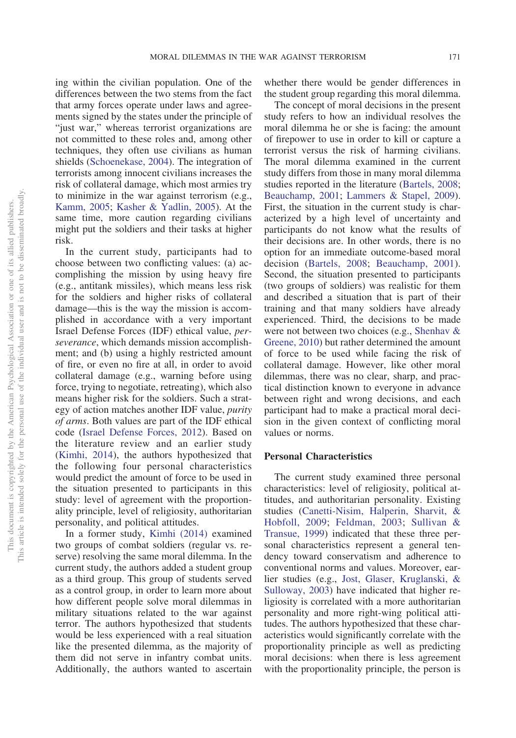ing within the civilian population. One of the differences between the two stems from the fact that army forces operate under laws and agreements signed by the states under the principle of "just war," whereas terrorist organizations are not committed to these roles and, among other techniques, they often use civilians as human shields [\(Schoenekase, 2004\)](#page-14-7). The integration of terrorists among innocent civilians increases the risk of collateral damage, which most armies try to minimize in the war against terrorism (e.g., [Kamm, 2005;](#page-13-0) [Kasher & Yadlin, 2005\)](#page-13-1). At the same time, more caution regarding civilians might put the soldiers and their tasks at higher risk.

In the current study, participants had to choose between two conflicting values: (a) accomplishing the mission by using heavy fire (e.g., antitank missiles), which means less risk for the soldiers and higher risks of collateral damage—this is the way the mission is accomplished in accordance with a very important Israel Defense Forces (IDF) ethical value, *perseverance*, which demands mission accomplishment; and (b) using a highly restricted amount of fire, or even no fire at all, in order to avoid collateral damage (e.g., warning before using force, trying to negotiate, retreating), which also means higher risk for the soldiers. Such a strategy of action matches another IDF value, *purity of arms*. Both values are part of the IDF ethical code [\(Israel Defense Forces, 2012\)](#page-13-9). Based on the literature review and an earlier study [\(Kimhi, 2014\)](#page-13-10), the authors hypothesized that the following four personal characteristics would predict the amount of force to be used in the situation presented to participants in this study: level of agreement with the proportionality principle, level of religiosity, authoritarian personality, and political attitudes.

In a former study, [Kimhi \(2014\)](#page-13-10) examined two groups of combat soldiers (regular vs. reserve) resolving the same moral dilemma. In the current study, the authors added a student group as a third group. This group of students served as a control group, in order to learn more about how different people solve moral dilemmas in military situations related to the war against terror. The authors hypothesized that students would be less experienced with a real situation like the presented dilemma, as the majority of them did not serve in infantry combat units. Additionally, the authors wanted to ascertain

whether there would be gender differences in the student group regarding this moral dilemma.

The concept of moral decisions in the present study refers to how an individual resolves the moral dilemma he or she is facing: the amount of firepower to use in order to kill or capture a terrorist versus the risk of harming civilians. The moral dilemma examined in the current study differs from those in many moral dilemma studies reported in the literature [\(Bartels, 2008;](#page-12-5) [Beauchamp, 2001;](#page-12-6) [Lammers & Stapel, 2009\)](#page-13-4). First, the situation in the current study is characterized by a high level of uncertainty and participants do not know what the results of their decisions are. In other words, there is no option for an immediate outcome-based moral decision [\(Bartels, 2008;](#page-12-5) [Beauchamp, 2001\)](#page-12-6). Second, the situation presented to participants (two groups of soldiers) was realistic for them and described a situation that is part of their training and that many soldiers have already experienced. Third, the decisions to be made were not between two choices (e.g., [Shenhav &](#page-14-5) [Greene, 2010\)](#page-14-5) but rather determined the amount of force to be used while facing the risk of collateral damage. However, like other moral dilemmas, there was no clear, sharp, and practical distinction known to everyone in advance between right and wrong decisions, and each participant had to make a practical moral decision in the given context of conflicting moral values or norms.

## **Personal Characteristics**

The current study examined three personal characteristics: level of religiosity, political attitudes, and authoritarian personality. Existing studies [\(Canetti-Nisim, Halperin, Sharvit, &](#page-12-7) [Hobfoll, 2009;](#page-12-7) [Feldman, 2003;](#page-13-11) [Sullivan &](#page-14-8) [Transue, 1999\)](#page-14-8) indicated that these three personal characteristics represent a general tendency toward conservatism and adherence to conventional norms and values. Moreover, earlier studies (e.g., [Jost, Glaser, Kruglanski, &](#page-13-12) [Sulloway, 2003\)](#page-13-12) have indicated that higher religiosity is correlated with a more authoritarian personality and more right-wing political attitudes. The authors hypothesized that these characteristics would significantly correlate with the proportionality principle as well as predicting moral decisions: when there is less agreement with the proportionality principle, the person is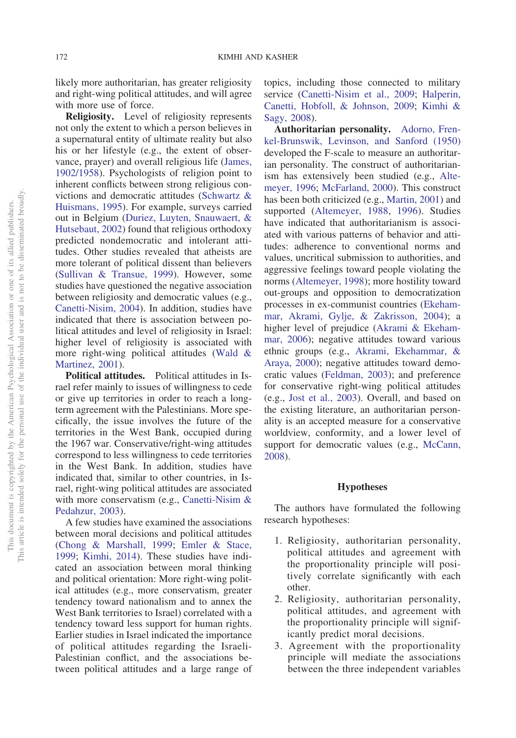likely more authoritarian, has greater religiosity and right-wing political attitudes, and will agree with more use of force.

**Religiosity.** Level of religiosity represents not only the extent to which a person believes in a supernatural entity of ultimate reality but also his or her lifestyle (e.g., the extent of observance, prayer) and overall religious life [\(James,](#page-13-13) [1902/1958\)](#page-13-13). Psychologists of religion point to inherent conflicts between strong religious convictions and democratic attitudes [\(Schwartz &](#page-14-9) [Huismans, 1995\)](#page-14-9). For example, surveys carried out in Belgium [\(Duriez, Luyten, Snauwaert, &](#page-12-8) [Hutsebaut, 2002\)](#page-12-8) found that religious orthodoxy predicted nondemocratic and intolerant attitudes. Other studies revealed that atheists are more tolerant of political dissent than believers [\(Sullivan & Transue, 1999\)](#page-14-8). However, some studies have questioned the negative association between religiosity and democratic values (e.g., [Canetti-Nisim, 2004\)](#page-12-9). In addition, studies have indicated that there is association between political attitudes and level of religiosity in Israel: higher level of religiosity is associated with more right-wing political attitudes [\(Wald &](#page-14-10) [Martinez, 2001\)](#page-14-10).

**Political attitudes.** Political attitudes in Israel refer mainly to issues of willingness to cede or give up territories in order to reach a longterm agreement with the Palestinians. More specifically, the issue involves the future of the territories in the West Bank, occupied during the 1967 war. Conservative/right-wing attitudes correspond to less willingness to cede territories in the West Bank. In addition, studies have indicated that, similar to other countries, in Israel, right-wing political attitudes are associated with more conservatism (e.g., [Canetti-Nisim &](#page-12-10) [Pedahzur, 2003\)](#page-12-10).

A few studies have examined the associations between moral decisions and political attitudes [\(Chong & Marshall, 1999;](#page-12-11) [Emler & Stace,](#page-12-12) [1999;](#page-12-12) [Kimhi, 2014\)](#page-13-10). These studies have indicated an association between moral thinking and political orientation: More right-wing political attitudes (e.g., more conservatism, greater tendency toward nationalism and to annex the West Bank territories to Israel) correlated with a tendency toward less support for human rights. Earlier studies in Israel indicated the importance of political attitudes regarding the Israeli-Palestinian conflict, and the associations between political attitudes and a large range of topics, including those connected to military service [\(Canetti-Nisim et al., 2009;](#page-12-7) [Halperin,](#page-13-14) [Canetti, Hobfoll, & Johnson, 2009;](#page-13-14) [Kimhi &](#page-13-15) [Sagy, 2008\)](#page-13-15).

**Authoritarian personality.** [Adorno, Fren](#page-12-13)[kel-Brunswik, Levinson, and Sanford \(1950\)](#page-12-13) developed the F-scale to measure an authoritarian personality. The construct of authoritarianism has extensively been studied (e.g., [Alte](#page-12-14)[meyer, 1996;](#page-12-14) [McFarland, 2000\)](#page-13-16). This construct has been both criticized (e.g., [Martin, 2001\)](#page-13-17) and supported [\(Altemeyer, 1988,](#page-12-15) [1996\)](#page-12-14). Studies have indicated that authoritarianism is associated with various patterns of behavior and attitudes: adherence to conventional norms and values, uncritical submission to authorities, and aggressive feelings toward people violating the norms [\(Altemeyer, 1998\)](#page-12-16); more hostility toward out-groups and opposition to democratization processes in ex-communist countries [\(Ekeham](#page-12-17)[mar, Akrami, Gylje, & Zakrisson, 2004\)](#page-12-17); a higher level of prejudice [\(Akrami & Ekeham](#page-12-18)[mar, 2006\)](#page-12-18); negative attitudes toward various ethnic groups (e.g., [Akrami, Ekehammar, &](#page-12-19) [Araya, 2000\)](#page-12-19); negative attitudes toward democratic values [\(Feldman, 2003\)](#page-13-11); and preference for conservative right-wing political attitudes (e.g., [Jost et al., 2003\)](#page-13-12). Overall, and based on the existing literature, an authoritarian personality is an accepted measure for a conservative worldview, conformity, and a lower level of support for democratic values (e.g., [McCann,](#page-13-18) [2008\)](#page-13-18).

#### **Hypotheses**

The authors have formulated the following research hypotheses:

- 1. Religiosity, authoritarian personality, political attitudes and agreement with the proportionality principle will positively correlate significantly with each other.
- 2. Religiosity, authoritarian personality, political attitudes, and agreement with the proportionality principle will significantly predict moral decisions.
- 3. Agreement with the proportionality principle will mediate the associations between the three independent variables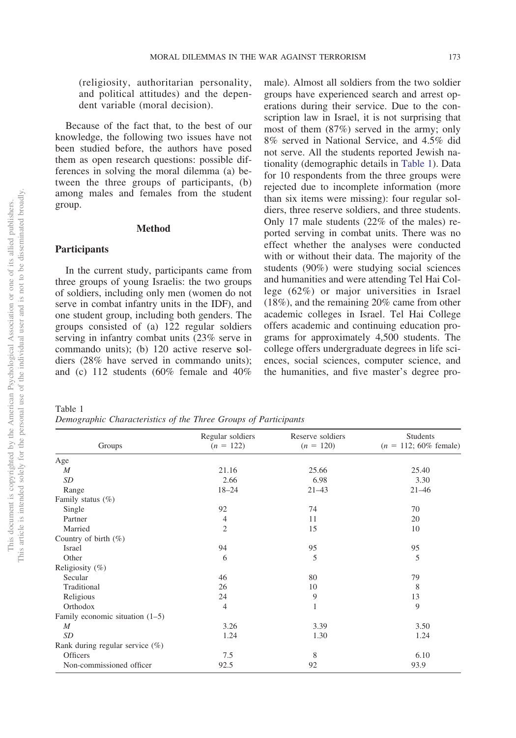(religiosity, authoritarian personality, and political attitudes) and the dependent variable (moral decision).

Because of the fact that, to the best of our knowledge, the following two issues have not been studied before, the authors have posed them as open research questions: possible differences in solving the moral dilemma (a) between the three groups of participants, (b) among males and females from the student group.

## **Method**

#### **Participants**

In the current study, participants came from three groups of young Israelis: the two groups of soldiers, including only men (women do not serve in combat infantry units in the IDF), and one student group, including both genders. The groups consisted of (a) 122 regular soldiers serving in infantry combat units (23% serve in commando units); (b) 120 active reserve **s**oldiers (28% have served in commando units); and (c) 112 students (60% female and 40% male). Almost all soldiers from the two soldier groups have experienced search and arrest operations during their service. Due to the conscription law in Israel, it is not surprising that most of them (87%) served in the army; only 8% served in National Service, and 4.5% did not serve. All the students reported Jewish nationality (demographic details in [Table 1\)](#page-4-0). Data for 10 respondents from the three groups were rejected due to incomplete information (more than six items were missing): four regular soldiers, three reserve soldiers, and three students. Only 17 male students (22% of the males) reported serving in combat units. There was no effect whether the analyses were conducted with or without their data. The majority of the students (90%) were studying social sciences and humanities and were attending Tel Hai College (62%) or major universities in Israel (18%), and the remaining 20% came from other academic colleges in Israel. Tel Hai College offers academic and continuing education programs for approximately 4,500 students. The college offers undergraduate degrees in life sciences, social sciences, computer science, and the humanities, and five master's degree pro-

<span id="page-4-0"></span>Table 1 *Demographic Characteristics of the Three Groups of Participants*

|                                    | Regular soldiers | Reserve soldiers | Students                 |  |
|------------------------------------|------------------|------------------|--------------------------|--|
| Groups                             | $(n = 122)$      | $(n = 120)$      | $(n = 112; 60\%$ female) |  |
| Age                                |                  |                  |                          |  |
| $\boldsymbol{M}$                   | 21.16            | 25.66            | 25.40                    |  |
| SD                                 | 2.66             | 6.98             | 3.30                     |  |
| Range                              | $18 - 24$        | $21 - 43$        | $21 - 46$                |  |
| Family status $(\%)$               |                  |                  |                          |  |
| Single                             | 92               | 74               | 70                       |  |
| Partner                            | 4                | 11               | 20                       |  |
| Married                            | $\overline{2}$   | 15               | 10                       |  |
| Country of birth $(\% )$           |                  |                  |                          |  |
| Israel                             | 94               | 95               | 95                       |  |
| Other                              | 6                | 5                | 5                        |  |
| Religiosity $(\%)$                 |                  |                  |                          |  |
| Secular                            | 46               | 80               | 79                       |  |
| Traditional                        | 26               | 10               | 8                        |  |
| Religious                          | 24               | 9                | 13                       |  |
| Orthodox                           | 4                | 1                | 9                        |  |
| Family economic situation $(1-5)$  |                  |                  |                          |  |
| $\boldsymbol{M}$                   | 3.26             | 3.39             | 3.50                     |  |
| SD <sub></sub>                     | 1.24             | 1.30             | 1.24                     |  |
| Rank during regular service $(\%)$ |                  |                  |                          |  |
| Officers                           | 7.5              | 8                | 6.10                     |  |
| Non-commissioned officer           | 92.5             | 92               | 93.9                     |  |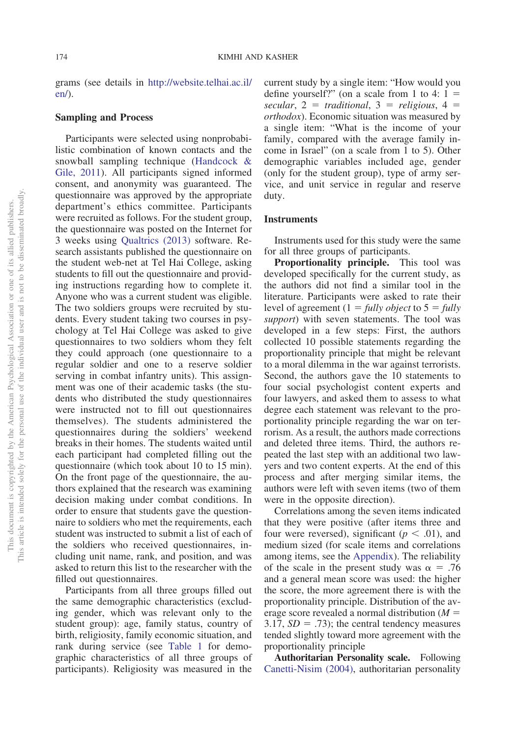grams (see details in [http://website.telhai.ac.il/](http://website.telhai.ac.il/en/) [en/\)](http://website.telhai.ac.il/en/).

## **Sampling and Process**

Participants were selected using nonprobabilistic combination of known contacts and the snowball sampling technique [\(Handcock &](#page-13-19) [Gile, 2011\)](#page-13-19). All participants signed informed consent, and anonymity was guaranteed. The questionnaire was approved by the appropriate department's ethics committee. Participants were recruited as follows. For the student group, the questionnaire was posted on the Internet for 3 weeks using [Qualtrics \(2013\)](#page-13-20) software. Research assistants published the questionnaire on the student web-net at Tel Hai College, asking students to fill out the questionnaire and providing instructions regarding how to complete it. Anyone who was a current student was eligible. The two soldiers groups were recruited by students. Every student taking two courses in psychology at Tel Hai College was asked to give questionnaires to two soldiers whom they felt they could approach (one questionnaire to a regular soldier and one to a reserve soldier serving in combat infantry units). This assignment was one of their academic tasks (the students who distributed the study questionnaires were instructed not to fill out questionnaires themselves). The students administered the questionnaires during the soldiers' weekend breaks in their homes. The students waited until each participant had completed filling out the questionnaire (which took about 10 to 15 min). On the front page of the questionnaire, the authors explained that the research was examining decision making under combat conditions. In order to ensure that students gave the questionnaire to soldiers who met the requirements, each student was instructed to submit a list of each of the soldiers who received questionnaires, including unit name, rank, and position, and was asked to return this list to the researcher with the filled out questionnaires.

Participants from all three groups filled out the same demographic characteristics (excluding gender, which was relevant only to the student group): age, family status, country of birth, religiosity, family economic situation, and rank during service (see [Table 1](#page-4-0) for demographic characteristics of all three groups of participants). Religiosity was measured in the current study by a single item: "How would you define yourself?" (on a scale from 1 to 4:  $1 =$  $secular, 2 = traditional, 3 = religious, 4 =$ *orthodox*). Economic situation was measured by a single item: "What is the income of your family, compared with the average family income in Israel" (on a scale from 1 to 5). Other demographic variables included age, gender (only for the student group), type of army service, and unit service in regular and reserve duty.

## **Instruments**

Instruments used for this study were the same for all three groups of participants.

**Proportionality principle.** This tool was developed specifically for the current study, as the authors did not find a similar tool in the literature. Participants were asked to rate their level of agreement  $(1 = \text{fully object to } 5 = \text{fully})$ *support*) with seven statements. The tool was developed in a few steps: First, the authors collected 10 possible statements regarding the proportionality principle that might be relevant to a moral dilemma in the war against terrorists. Second, the authors gave the 10 statements to four social psychologist content experts and four lawyers, and asked them to assess to what degree each statement was relevant to the proportionality principle regarding the war on terrorism. As a result, the authors made corrections and deleted three items. Third, the authors repeated the last step with an additional two lawyers and two content experts. At the end of this process and after merging similar items, the authors were left with seven items (two of them were in the opposite direction).

Correlations among the seven items indicated that they were positive (after items three and four were reversed), significant ( $p < .01$ ), and medium sized (for scale items and correlations among items, see the [Appendix\)](#page-15-0). The reliability of the scale in the present study was  $\alpha = .76$ and a general mean score was used: the higher the score, the more agreement there is with the proportionality principle. Distribution of the average score revealed a normal distribution  $(M =$  $3.17, SD = .73$ ; the central tendency measures tended slightly toward more agreement with the proportionality principle

**Authoritarian Personality scale.** Following [Canetti-Nisim \(2004\),](#page-12-9) authoritarian personality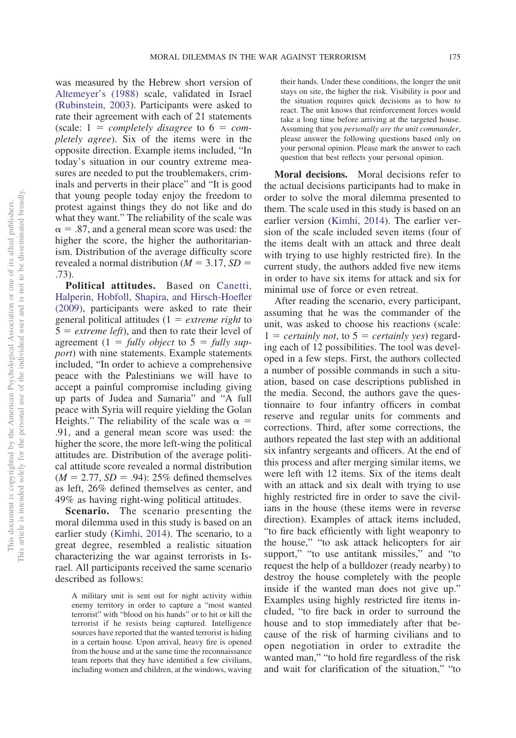was measured by the Hebrew short version of [Altemeyer's \(1988\)](#page-12-15) scale, validated in Israel [\(Rubinstein, 2003\)](#page-13-21). Participants were asked to rate their agreement with each of 21 statements  $(scale: 1 = completely disagree to 6 = com$ *pletely agree*). Six of the items were in the opposite direction. Example items included, "In today's situation in our country extreme measures are needed to put the troublemakers, criminals and perverts in their place" and "It is good that young people today enjoy the freedom to protest against things they do not like and do what they want." The reliability of the scale was  $\alpha = .87$ , and a general mean score was used: the higher the score, the higher the authoritarianism. Distribution of the average difficulty score revealed a normal distribution ( $M = 3.17$ ,  $SD =$ .73).

**Political attitudes.** Based on [Canetti,](#page-12-20) [Halperin, Hobfoll, Shapira, and Hirsch-Hoefler](#page-12-20) [\(2009\),](#page-12-20) participants were asked to rate their general political attitudes  $(1 = extreme\ right)$  to  $5 =$  *extreme left*), and then to rate their level of agreement  $(1 = \text{fully object to } 5 = \text{fully sup-}$ *port*) with nine statements. Example statements included, "In order to achieve a comprehensive peace with the Palestinians we will have to accept a painful compromise including giving up parts of Judea and Samaria" and "A full peace with Syria will require yielding the Golan Heights." The reliability of the scale was  $\alpha$  = .91, and a general mean score was used: the higher the score, the more left-wing the political attitudes are. Distribution of the average political attitude score revealed a normal distribution  $(M = 2.77, SD = .94)$ : 25% defined themselves as left, 26% defined themselves as center, and 49% as having right-wing political attitudes.

**Scenario.** The scenario presenting the moral dilemma used in this study is based on an earlier study [\(Kimhi, 2014\)](#page-13-10). The scenario, to a great degree, resembled a realistic situation characterizing the war against terrorists in Israel. All participants received the same scenario described as follows:

their hands. Under these conditions, the longer the unit stays on site, the higher the risk. Visibility is poor and the situation requires quick decisions as to how to react. The unit knows that reinforcement forces would take a long time before arriving at the targeted house. Assuming that you *personally are the unit commander*, please answer the following questions based only on your personal opinion. Please mark the answer to each question that best reflects your personal opinion.

**Moral decisions.** Moral decisions refer to the actual decisions participants had to make in order to solve the moral dilemma presented to them. The scale used in this study is based on an earlier version [\(Kimhi, 2014\)](#page-13-10). The earlier version of the scale included seven items (four of the items dealt with an attack and three dealt with trying to use highly restricted fire). In the current study, the authors added five new items in order to have six items for attack and six for minimal use of force or even retreat.

After reading the scenario, every participant, assuming that he was the commander of the unit, was asked to choose his reactions (scale:  $1 = \text{certainly not}$ , to  $5 = \text{certainly yes}$  regarding each of 12 possibilities. The tool was developed in a few steps. First, the authors collected a number of possible commands in such a situation, based on case descriptions published in the media. Second, the authors gave the questionnaire to four infantry officers in combat reserve and regular units for comments and corrections. Third, after some corrections, the authors repeated the last step with an additional six infantry sergeants and officers. At the end of this process and after merging similar items, we were left with 12 items. Six of the items dealt with an attack and six dealt with trying to use highly restricted fire in order to save the civilians in the house (these items were in reverse direction). Examples of attack items included, "to fire back efficiently with light weaponry to the house," "to ask attack helicopters for air support," "to use antitank missiles," and "to request the help of a bulldozer (ready nearby) to destroy the house completely with the people inside if the wanted man does not give up." Examples using highly restricted fire items included, "to fire back in order to surround the house and to stop immediately after that because of the risk of harming civilians and to open negotiation in order to extradite the wanted man," "to hold fire regardless of the risk and wait for clarification of the situation," "to

A military unit is sent out for night activity within enemy territory in order to capture a "most wanted terrorist" with "blood on his hands" or to hit or kill the terrorist if he resists being captured. Intelligence sources have reported that the wanted terrorist is hiding in a certain house. Upon arrival, heavy fire is opened from the house and at the same time the reconnaissance team reports that they have identified a few civilians, including women and children, at the windows, waving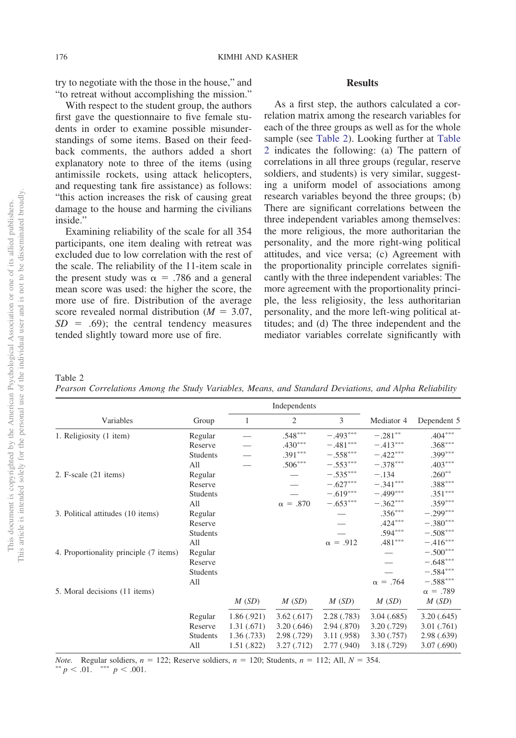try to negotiate with the those in the house," and "to retreat without accomplishing the mission."

With respect to the student group, the authors first gave the questionnaire to five female students in order to examine possible misunderstandings of some items. Based on their feedback comments, the authors added a short explanatory note to three of the items (using antimissile rockets, using attack helicopters, and requesting tank fire assistance) as follows: "this action increases the risk of causing great damage to the house and harming the civilians inside."

Examining reliability of the scale for all 354 participants, one item dealing with retreat was excluded due to low correlation with the rest of the scale. The reliability of the 11-item scale in the present study was  $\alpha = .786$  and a general mean score was used: the higher the score, the more use of fire. Distribution of the average score revealed normal distribution ( $M = 3.07$ ,  $SD = .69$ ; the central tendency measures tended slightly toward more use of fire.

#### **Results**

As a first step, the authors calculated a correlation matrix among the research variables for each of the three groups as well as for the whole sample (see [Table 2\)](#page-7-0). Looking further at [Table](#page-7-0) [2](#page-7-0) indicates the following: (a) The pattern of correlations in all three groups (regular, reserve soldiers, and students) is very similar, suggesting a uniform model of associations among research variables beyond the three groups; (b) There are significant correlations between the three independent variables among themselves: the more religious, the more authoritarian the personality, and the more right-wing political attitudes, and vice versa; (c) Agreement with the proportionality principle correlates significantly with the three independent variables: The more agreement with the proportionality principle, the less religiosity, the less authoritarian personality, and the more left-wing political attitudes; and (d) The three independent and the mediator variables correlate significantly with

<span id="page-7-0"></span>Table 2

*Pearson Correlations Among the Study Variables, Means, and Standard Deviations, and Alpha Reliability*

|                                        |                 |             | Independents    |                 |                 |                 |
|----------------------------------------|-----------------|-------------|-----------------|-----------------|-----------------|-----------------|
| Variables                              | Group           | 1           | $\overline{2}$  | 3               | Mediator 4      | Dependent 5     |
| 1. Religiosity (1 item)                | Regular         |             | $.548***$       | $-.493***$      | $-.281$ **      | $.404***$       |
|                                        | Reserve         |             | $.430***$       | $-.481***$      | $-.413***$      | $.368***$       |
|                                        | Students        |             | $.391***$       | $-.558***$      | $-.422***$      | $.399***$       |
|                                        | All             |             | $.506***$       | $-.553***$      | $-.378***$      | $.403***$       |
| 2. F-scale (21 items)                  | Regular         |             |                 | $-.535***$      | $-.134$         | $.260**$        |
|                                        | Reserve         |             |                 | $-.627***$      | $-.341***$      | .388***         |
|                                        | Students        |             |                 | $-.619***$      | $-.499***$      | $.351***$       |
|                                        | All             |             | $\alpha = .870$ | $-.653***$      | $-.362***$      | $.359***$       |
| 3. Political attitudes (10 items)      | Regular         |             |                 |                 | $.356***$       | $-.299***$      |
|                                        | Reserve         |             |                 |                 | $.424***$       | $-.380***$      |
|                                        | <b>Students</b> |             |                 |                 | $.594***$       | $-.508***$      |
|                                        | All             |             |                 | $\alpha = .912$ | $.481***$       | $-.416***$      |
| 4. Proportionality principle (7 items) | Regular         |             |                 |                 |                 | $-.500***$      |
|                                        | Reserve         |             |                 |                 |                 | $-.648***$      |
|                                        | Students        |             |                 |                 |                 | $-.584***$      |
|                                        | All             |             |                 |                 | $\alpha = .764$ | $-.588***$      |
| 5. Moral decisions (11 items)          |                 |             |                 |                 |                 | $\alpha = .789$ |
|                                        |                 | M(SD)       | M(SD)           | M(SD)           | M(SD)           | M(SD)           |
|                                        | Regular         | 1.86(.921)  | 3.62(.617)      | 2.28(.783)      | 3.04(.685)      | 3.20(.645)      |
|                                        | Reserve         | 1.31(.671)  | 3.20(.646)      | 2.94(.870)      | 3.20(0.729)     | 3.01(.761)      |
|                                        | Students        | 1.36(0.733) | 2.98(.729)      | 3.11 (.958)     | 3.30(.757)      | 2.98(.639)      |
|                                        | All             | 1.51(.822)  | 3.27(0.712)     | 2.77 (.940)     | 3.18 (.729)     | 3.07(.690)      |

*Note.* Regular soldiers,  $n = 122$ ; Reserve soldiers,  $n = 120$ ; Students,  $n = 112$ ; All,  $N = 354$ .  $p < .01.$ <sup>\*\*\*</sup>  $p < .001.$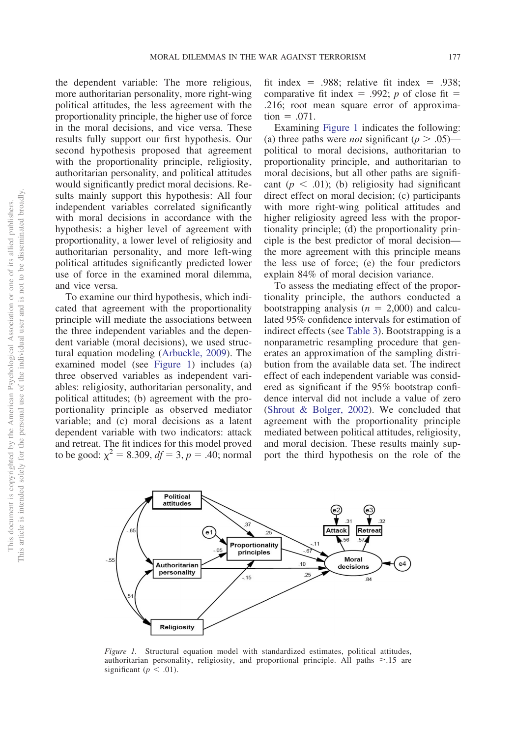the dependent variable: The more religious, more authoritarian personality, more right-wing political attitudes, the less agreement with the proportionality principle, the higher use of force in the moral decisions, and vice versa. These results fully support our first hypothesis. Our second hypothesis proposed that agreement with the proportionality principle, religiosity, authoritarian personality, and political attitudes would significantly predict moral decisions. Results mainly support this hypothesis: All four independent variables correlated significantly with moral decisions in accordance with the hypothesis: a higher level of agreement with proportionality, a lower level of religiosity and authoritarian personality, and more left-wing political attitudes significantly predicted lower use of force in the examined moral dilemma, and vice versa.

To examine our third hypothesis, which indicated that agreement with the proportionality principle will mediate the associations between the three independent variables and the dependent variable (moral decisions), we used structural equation modeling [\(Arbuckle, 2009\)](#page-12-21). The examined model (see [Figure 1\)](#page-8-0) includes (a) three observed variables as independent variables: religiosity, authoritarian personality, and political attitudes; (b) agreement with the proportionality principle as observed mediator variable; and (c) moral decisions as a latent dependent variable with two indicators: attack and retreat. The fit indices for this model proved to be good:  $\chi^2 = 8.309$ ,  $df = 3$ ,  $p = .40$ ; normal

fit index = .988; relative fit index = .938; comparative fit index = .992; *p* of close fit = .216; root mean square error of approxima- $\text{tion} = .071.$ 

Examining [Figure 1](#page-8-0) indicates the following: (a) three paths were *not* significant ( $p > .05$ ) political to moral decisions, authoritarian to proportionality principle, and authoritarian to moral decisions, but all other paths are significant  $(p < .01)$ ; (b) religiosity had significant direct effect on moral decision; (c) participants with more right-wing political attitudes and higher religiosity agreed less with the proportionality principle; (d) the proportionality principle is the best predictor of moral decision the more agreement with this principle means the less use of force; (e) the four predictors explain 84% of moral decision variance.

To assess the mediating effect of the proportionality principle, the authors conducted a bootstrapping analysis  $(n = 2,000)$  and calculated 95% confidence intervals for estimation of indirect effects (see [Table 3\)](#page-9-0). Bootstrapping is a nonparametric resampling procedure that generates an approximation of the sampling distribution from the available data set. The indirect effect of each independent variable was considered as significant if the 95% bootstrap confidence interval did not include a value of zero [\(Shrout & Bolger, 2002\)](#page-14-11). We concluded that agreement with the proportionality principle mediated between political attitudes, religiosity, and moral decision. These results mainly support the third hypothesis on the role of the



<span id="page-8-0"></span>*Figure 1.* Structural equation model with standardized estimates, political attitudes, authoritarian personality, religiosity, and proportional principle. All paths  $\geq 15$  are significant ( $p < .01$ ).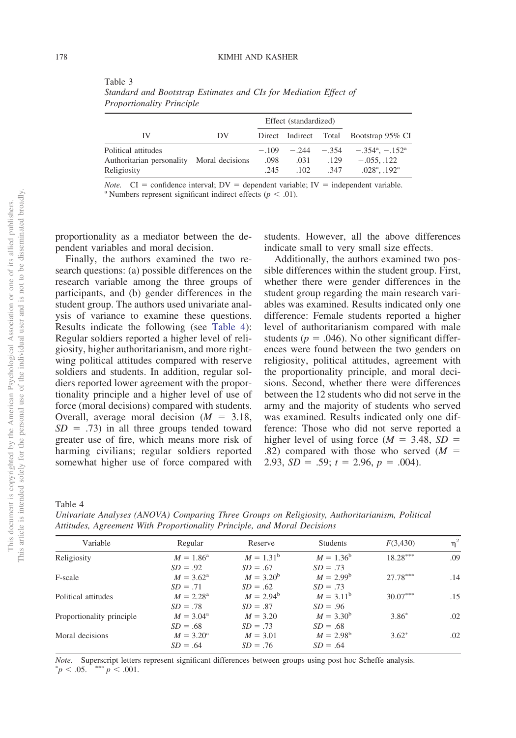<span id="page-9-0"></span>

| Table 3                                                          |
|------------------------------------------------------------------|
| Standard and Bootstrap Estimates and CIs for Mediation Effect of |
| <i>Proportionality Principle</i>                                 |

|                                                                                 |    |              | Effect (standardized) |              |                                                                                                      |
|---------------------------------------------------------------------------------|----|--------------|-----------------------|--------------|------------------------------------------------------------------------------------------------------|
| IV                                                                              | DV |              |                       |              | Direct Indirect Total Bootstrap 95% CI                                                               |
| Political attitudes<br>Authoritarian personality Moral decisions<br>Religiosity |    | .098<br>.245 | .031<br>.102          | .129<br>.347 | $-109 - 244 - 354 - 354^{\circ} - 152^{\circ}$<br>$-.055, .122$<br>$.028^{\rm a}$ . 192 <sup>a</sup> |

*Note.* CI = confidence interval; DV = dependent variable; IV = independent variable. <sup>a</sup> Numbers represent significant indirect effects (*p* < .01).

proportionality as a mediator between the dependent variables and moral decision.

Finally, the authors examined the two research questions: (a) possible differences on the research variable among the three groups of participants, and (b) gender differences in the student group. The authors used univariate analysis of variance to examine these questions. Results indicate the following (see [Table 4\)](#page-9-1): Regular soldiers reported a higher level of religiosity, higher authoritarianism, and more rightwing political attitudes compared with reserve soldiers and students. In addition, regular soldiers reported lower agreement with the proportionality principle and a higher level of use of force (moral decisions) compared with students. Overall, average moral decision  $(M = 3.18)$ ,  $SD = .73$ ) in all three groups tended toward greater use of fire, which means more risk of harming civilians; regular soldiers reported somewhat higher use of force compared with students. However, all the above differences indicate small to very small size effects.

Additionally, the authors examined two possible differences within the student group. First, whether there were gender differences in the student group regarding the main research variables was examined. Results indicated only one difference: Female students reported a higher level of authoritarianism compared with male students ( $p = .046$ ). No other significant differences were found between the two genders on religiosity, political attitudes, agreement with the proportionality principle, and moral decisions. Second, whether there were differences between the 12 students who did not serve in the army and the majority of students who served was examined. Results indicated only one difference: Those who did not serve reported a higher level of using force  $(M = 3.48, SD =$ .82) compared with those who served  $(M =$ 2.93,  $SD = .59$ ;  $t = 2.96$ ,  $p = .004$ ).

#### <span id="page-9-1"></span>Table 4

*Univariate Analyses (ANOVA) Comparing Three Groups on Religiosity, Authoritarianism, Political Attitudes, Agreement With Proportionality Principle, and Moral Decisions*

| Regular            | Reserve      | <b>Students</b>    | F(3, 430)  | $\eta^2$ |
|--------------------|--------------|--------------------|------------|----------|
| $M = 1.86^{\rm a}$ | $M = 1.31^b$ | $M = 1.36^b$       | $18.28***$ | .09      |
| $SD = .92$         | $SD = .67$   | $SD = .73$         |            |          |
| $M = 3.62^{\rm a}$ | $M = 3.20^b$ | $M = 2.99^b$       | $27.78***$ | .14      |
| $SD = .71$         | $SD = .62$   | $SD = .73$         |            |          |
| $M = 2.28^{\rm a}$ | $M = 2.94^b$ | $M = 3.11^b$       | $30.07***$ | .15      |
| $SD = .78$         | $SD = .87$   | $SD = .96$         |            |          |
| $M = 3.04^{\rm a}$ | $M = 3.20$   | $M = 3.30^b$       | $3.86*$    | .02      |
| $SD = .68$         | $SD = .73$   | $SD = .68$         |            |          |
| $M = 3.20^{\rm a}$ | $M = 3.01$   | $M = 2.98^{\rm b}$ | $3.62*$    | .02      |
| $SD = .64$         | $SD = .76$   | $SD = .64$         |            |          |
|                    |              |                    |            |          |

*Note*. Superscript letters represent significant differences between groups using post hoc Scheffe analysis.  $p < .05.$ <sup>\*\*\*</sup>  $p < .001.$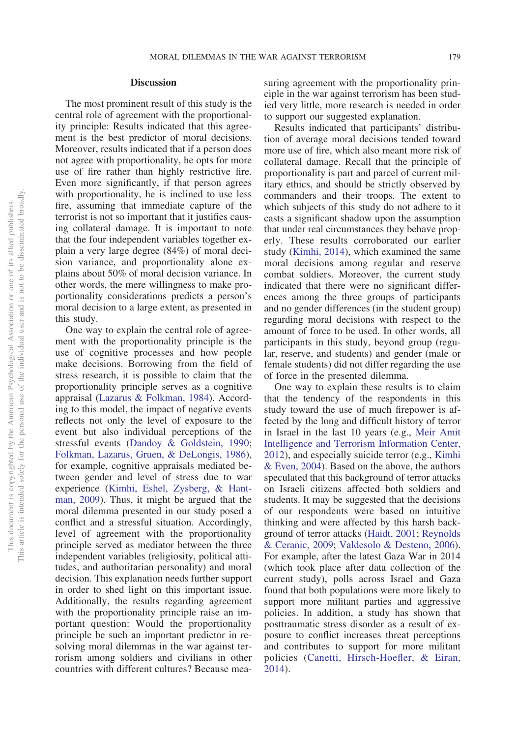#### **Discussion**

The most prominent result of this study is the central role of agreement with the proportionality principle: Results indicated that this agreement is the best predictor of moral decisions. Moreover, results indicated that if a person does not agree with proportionality, he opts for more use of fire rather than highly restrictive fire. Even more significantly, if that person agrees with proportionality, he is inclined to use less fire, assuming that immediate capture of the terrorist is not so important that it justifies causing collateral damage. It is important to note that the four independent variables together explain a very large degree (84%) of moral decision variance, and proportionality alone explains about 50% of moral decision variance. In other words, the mere willingness to make proportionality considerations predicts a person's moral decision to a large extent, as presented in this study.

One way to explain the central role of agreement with the proportionality principle is the use of cognitive processes and how people make decisions. Borrowing from the field of stress research, it is possible to claim that the proportionality principle serves as a cognitive appraisal [\(Lazarus & Folkman, 1984\)](#page-13-22). According to this model, the impact of negative events reflects not only the level of exposure to the event but also individual perceptions of the stressful events [\(Dandoy & Goldstein, 1990;](#page-12-22) [Folkman, Lazarus, Gruen, & DeLongis, 1986\)](#page-13-23), for example, cognitive appraisals mediated between gender and level of stress due to war experience [\(Kimhi, Eshel, Zysberg, & Hant](#page-13-24)[man, 2009\)](#page-13-24). Thus, it might be argued that the moral dilemma presented in our study posed a conflict and a stressful situation. Accordingly, level of agreement with the proportionality principle served as mediator between the three independent variables (religiosity, political attitudes, and authoritarian personality) and moral decision. This explanation needs further support in order to shed light on this important issue. Additionally, the results regarding agreement with the proportionality principle raise an important question: Would the proportionality principle be such an important predictor in resolving moral dilemmas in the war against terrorism among soldiers and civilians in other countries with different cultures? Because measuring agreement with the proportionality principle in the war against terrorism has been studied very little, more research is needed in order to support our suggested explanation.

Results indicated that participants' distribution of average moral decisions tended toward more use of fire, which also meant more risk of collateral damage. Recall that the principle of proportionality is part and parcel of current military ethics, and should be strictly observed by commanders and their troops. The extent to which subjects of this study do not adhere to it casts a significant shadow upon the assumption that under real circumstances they behave properly. These results corroborated our earlier study [\(Kimhi, 2014\)](#page-13-10), which examined the same moral decisions among regular and reserve combat soldiers. Moreover, the current study indicated that there were no significant differences among the three groups of participants and no gender differences (in the student group) regarding moral decisions with respect to the amount of force to be used. In other words, all participants in this study, beyond group (regular, reserve, and students) and gender (male or female students) did not differ regarding the use of force in the presented dilemma.

One way to explain these results is to claim that the tendency of the respondents in this study toward the use of much firepower is affected by the long and difficult history of terror in Israel in the last 10 years (e.g., [Meir Amit](#page-13-25) [Intelligence and Terrorism Information Center,](#page-13-25) [2012\)](#page-13-25), and especially suicide terror (e.g., [Kimhi](#page-13-26) [& Even, 2004\)](#page-13-26). Based on the above, the authors speculated that this background of terror attacks on Israeli citizens affected both soldiers and students. It may be suggested that the decisions of our respondents were based on intuitive thinking and were affected by this harsh background of terror attacks [\(Haidt, 2001;](#page-13-5) [Reynolds](#page-13-6) [& Ceranic, 2009;](#page-13-6) [Valdesolo & Desteno, 2006\)](#page-14-2). For example, after the latest Gaza War in 2014 (which took place after data collection of the current study), polls across Israel and Gaza found that both populations were more likely to support more militant parties and aggressive policies. In addition, a study has shown that posttraumatic stress disorder as a result of exposure to conflict increases threat perceptions and contributes to support for more militant policies [\(Canetti, Hirsch-Hoefler, & Eiran,](#page-12-23) [2014\)](#page-12-23).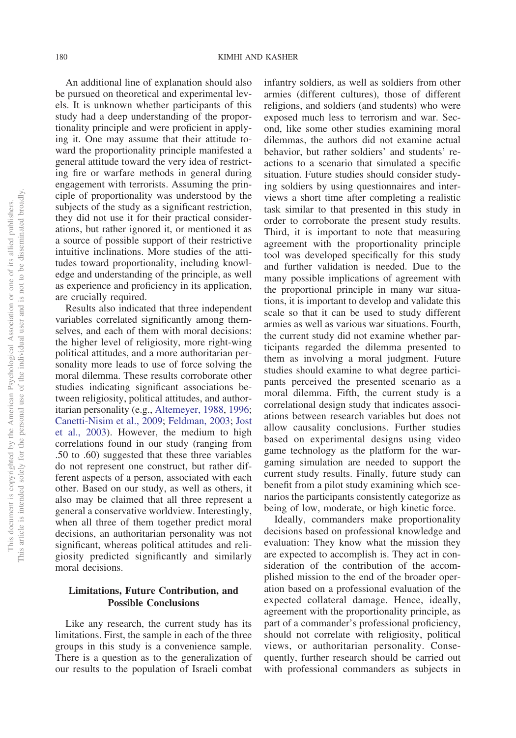An additional line of explanation should also be pursued on theoretical and experimental levels. It is unknown whether participants of this study had a deep understanding of the proportionality principle and were proficient in applying it. One may assume that their attitude toward the proportionality principle manifested a general attitude toward the very idea of restricting fire or warfare methods in general during engagement with terrorists. Assuming the principle of proportionality was understood by the subjects of the study as a significant restriction, they did not use it for their practical considerations, but rather ignored it, or mentioned it as a source of possible support of their restrictive intuitive inclinations. More studies of the attitudes toward proportionality, including knowledge and understanding of the principle, as well as experience and proficiency in its application, are crucially required.

Results also indicated that three independent variables correlated significantly among themselves, and each of them with moral decisions: the higher level of religiosity, more right-wing political attitudes, and a more authoritarian personality more leads to use of force solving the moral dilemma. These results corroborate other studies indicating significant associations between religiosity, political attitudes, and authoritarian personality (e.g., [Altemeyer, 1988,](#page-12-15) [1996;](#page-12-14) [Canetti-Nisim et al., 2009;](#page-12-7) [Feldman, 2003;](#page-13-11) [Jost](#page-13-12) [et al., 2003\)](#page-13-12). However, the medium to high correlations found in our study (ranging from .50 to .60) suggested that these three variables do not represent one construct, but rather different aspects of a person, associated with each other. Based on our study, as well as others, it also may be claimed that all three represent a general a conservative worldview. Interestingly, when all three of them together predict moral decisions, an authoritarian personality was not significant, whereas political attitudes and religiosity predicted significantly and similarly moral decisions.

# **Limitations, Future Contribution, and Possible Conclusions**

Like any research, the current study has its limitations. First, the sample in each of the three groups in this study is a convenience sample. There is a question as to the generalization of our results to the population of Israeli combat infantry soldiers, as well as soldiers from other armies (different cultures), those of different religions, and soldiers (and students) who were exposed much less to terrorism and war. Second, like some other studies examining moral dilemmas, the authors did not examine actual behavior, but rather soldiers' and students' reactions to a scenario that simulated a specific situation. Future studies should consider studying soldiers by using questionnaires and interviews a short time after completing a realistic task similar to that presented in this study in order to corroborate the present study results. Third, it is important to note that measuring agreement with the proportionality principle tool was developed specifically for this study and further validation is needed. Due to the many possible implications of agreement with the proportional principle in many war situations, it is important to develop and validate this scale so that it can be used to study different armies as well as various war situations. Fourth, the current study did not examine whether participants regarded the dilemma presented to them as involving a moral judgment. Future studies should examine to what degree participants perceived the presented scenario as a moral dilemma. Fifth, the current study is a correlational design study that indicates associations between research variables but does not allow causality conclusions. Further studies based on experimental designs using video game technology as the platform for the wargaming simulation are needed to support the current study results. Finally, future study can benefit from a pilot study examining which scenarios the participants consistently categorize as being of low, moderate, or high kinetic force.

Ideally, commanders make proportionality decisions based on professional knowledge and evaluation: They know what the mission they are expected to accomplish is. They act in consideration of the contribution of the accomplished mission to the end of the broader operation based on a professional evaluation of the expected collateral damage. Hence, ideally, agreement with the proportionality principle, as part of a commander's professional proficiency, should not correlate with religiosity, political views, or authoritarian personality. Consequently, further research should be carried out with professional commanders as subjects in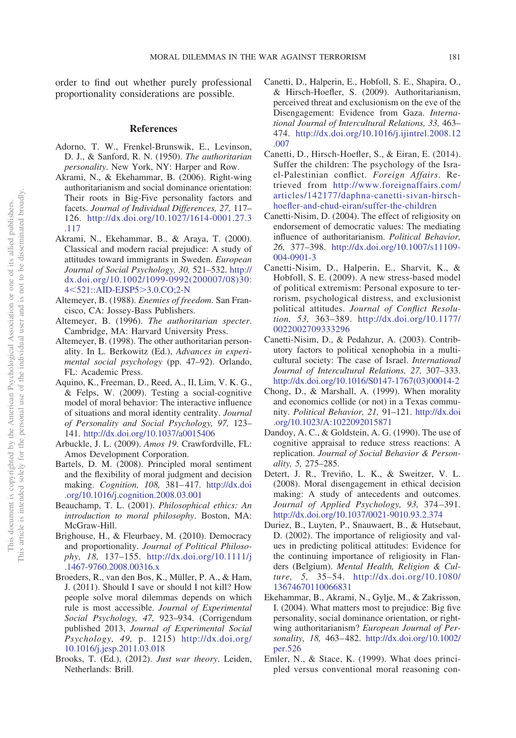order to find out whether purely professional proportionality considerations are possible.

#### **References**

- <span id="page-12-13"></span>Adorno, T. W., Frenkel-Brunswik, E., Levinson, D. J., & Sanford, R. N. (1950). *The authoritarian personality*. New York, NY: Harper and Row.
- <span id="page-12-18"></span>Akrami, N., & Ekehammar, B. (2006). Right-wing authoritarianism and social dominance orientation: Their roots in Big-Five personality factors and facets. *Journal of Individual Differences, 27,* 117– 126. [http://dx.doi.org/10.1027/1614-0001.27.3](http://dx.doi.org/10.1027/1614-0001.27.3.117) [.117](http://dx.doi.org/10.1027/1614-0001.27.3.117)
- <span id="page-12-19"></span>Akrami, N., Ekehammar, B., & Araya, T. (2000). Classical and modern racial prejudice: A study of attitudes toward immigrants in Sweden. *European Journal of Social Psychology, 30,* 521–532. [http://](http://dx.doi.org/10.1002/1099-0992%28200007/08%2930:4%3C521::AID-EJSP5%3E3.0.CO;2-N) [dx.doi.org/10.1002/1099-0992\(200007/08\)30:](http://dx.doi.org/10.1002/1099-0992%28200007/08%2930:4%3C521::AID-EJSP5%3E3.0.CO;2-N) 4<[521::AID-EJSP5](http://dx.doi.org/10.1002/1099-0992%28200007/08%2930:4%3C521::AID-EJSP5%3E3.0.CO;2-N)>3.0.CO;2-N
- <span id="page-12-15"></span>Altemeyer, B. (1988). *Enemies of freedom*. San Francisco, CA: Jossey-Bass Publishers.
- <span id="page-12-14"></span>Altemeyer, B. (1996). *The authoritarian specter*. Cambridge, MA: Harvard University Press.
- <span id="page-12-16"></span>Altemeyer, B. (1998). The other authoritarian personality. In L. Berkowitz (Ed.), *Advances in experimental social psychology* (pp. 47–92). Orlando, FL: Academic Press.
- <span id="page-12-3"></span>Aquino, K., Freeman, D., Reed, A., II, Lim, V. K. G., & Felps, W. (2009). Testing a social-cognitive model of moral behavior: The interactive influence of situations and moral identity centrality. *Journal of Personality and Social Psychology, 97,* 123– 141. <http://dx.doi.org/10.1037/a0015406>
- <span id="page-12-21"></span>Arbuckle, J. L. (2009). *Amos 19*. Crawfordville, FL: Amos Development Corporation.
- <span id="page-12-5"></span>Bartels, D. M. (2008). Principled moral sentiment and the flexibility of moral judgment and decision making. *Cognition, 108,* 381–417. [http://dx.doi](http://dx.doi.org/10.1016/j.cognition.2008.03.001) [.org/10.1016/j.cognition.2008.03.001](http://dx.doi.org/10.1016/j.cognition.2008.03.001)
- <span id="page-12-6"></span>Beauchamp, T. L. (2001). *Philosophical ethics: An introduction to moral philosophy*. Boston, MA: McGraw-Hill.
- <span id="page-12-1"></span>Brighouse, H., & Fleurbaey, M. (2010). Democracy and proportionality. *Journal of Political Philosophy, 18,* 137–155. [http://dx.doi.org/10.1111/j](http://dx.doi.org/10.1111/j.1467-9760.2008.00316.x) [.1467-9760.2008.00316.x](http://dx.doi.org/10.1111/j.1467-9760.2008.00316.x)
- <span id="page-12-2"></span>Broeders, R., van den Bos, K., Müller, P. A., & Ham, J. (2011). Should I save or should I not kill? How people solve moral dilemmas depends on which rule is most accessible. *Journal of Experimental Social Psychology, 47,* 923–934. (Corrigendum published 2013, *Journal of Experimental Social Psychology, 49,* p. 1215) [http://dx.doi.org/](http://dx.doi.org/10.1016/j.jesp.2011.03.018) [10.1016/j.jesp.2011.03.018](http://dx.doi.org/10.1016/j.jesp.2011.03.018)
- <span id="page-12-0"></span>Brooks, T. (Ed.), (2012). *Just war theory*. Leiden, Netherlands: Brill.
- <span id="page-12-20"></span>Canetti, D., Halperin, E., Hobfoll, S. E., Shapira, O., & Hirsch-Hoefler, S. (2009). Authoritarianism, perceived threat and exclusionism on the eve of the Disengagement: Evidence from Gaza. *International Journal of Intercultural Relations, 33,* 463– 474. [http://dx.doi.org/10.1016/j.ijintrel.2008.12](http://dx.doi.org/10.1016/j.ijintrel.2008.12.007) [.007](http://dx.doi.org/10.1016/j.ijintrel.2008.12.007)
- <span id="page-12-23"></span>Canetti, D., Hirsch-Hoefler, S., & Eiran, E. (2014). Suffer the children: The psychology of the Israel-Palestinian conflict. *Foreign Affairs*. Retrieved from [http://www.foreignaffairs.com/](http://www.foreignaffairs.com/articles/142177/daphna-canetti-sivan-hirsch-hoefler-and-ehud-eiran/suffer-the-children) [articles/142177/daphna-canetti-sivan-hirsch](http://www.foreignaffairs.com/articles/142177/daphna-canetti-sivan-hirsch-hoefler-and-ehud-eiran/suffer-the-children)[hoefler-and-ehud-eiran/suffer-the-children](http://www.foreignaffairs.com/articles/142177/daphna-canetti-sivan-hirsch-hoefler-and-ehud-eiran/suffer-the-children)
- <span id="page-12-9"></span>Canetti-Nisim, D. (2004). The effect of religiosity on endorsement of democratic values: The mediating influence of authoritarianism. *Political Behavior, 26,* 377–398. [http://dx.doi.org/10.1007/s11109-](http://dx.doi.org/10.1007/s11109-004-0901-3) [004-0901-3](http://dx.doi.org/10.1007/s11109-004-0901-3)
- <span id="page-12-7"></span>Canetti-Nisim, D., Halperin, E., Sharvit, K., & Hobfoll, S. E. (2009). A new stress-based model of political extremism: Personal exposure to terrorism, psychological distress, and exclusionist political attitudes. *Journal of Conflict Resolution, 53,* 363–389. [http://dx.doi.org/10.1177/](http://dx.doi.org/10.1177/0022002709333296) [0022002709333296](http://dx.doi.org/10.1177/0022002709333296)
- <span id="page-12-10"></span>Canetti-Nisim, D., & Pedahzur, A. (2003). Contributory factors to political xenophobia in a multicultural society: The case of Israel. *International Journal of Intercultural Relations, 27,* 307–333. [http://dx.doi.org/10.1016/S0147-1767\(03\)00014-2](http://dx.doi.org/10.1016/S0147-1767%2803%2900014-2)
- <span id="page-12-11"></span>Chong, D., & Marshall, A. (1999). When morality and economics collide (or not) in a Texas community. *Political Behavior, 21,* 91–121. [http://dx.doi](http://dx.doi.org/10.1023/A:1022092015871) [.org/10.1023/A:1022092015871](http://dx.doi.org/10.1023/A:1022092015871)
- <span id="page-12-22"></span>Dandoy, A. C., & Goldstein, A. G. (1990). The use of cognitive appraisal to reduce stress reactions: A replication. *Journal of Social Behavior & Personality, 5,* 275–285.
- <span id="page-12-4"></span>Detert, J. R., Treviño, L. K., & Sweitzer, V. L. (2008). Moral disengagement in ethical decision making: A study of antecedents and outcomes. *Journal of Applied Psychology, 93,* 374–391. <http://dx.doi.org/10.1037/0021-9010.93.2.374>
- <span id="page-12-8"></span>Duriez, B., Luyten, P., Snauwaert, B., & Hutsebaut, D. (2002). The importance of religiosity and values in predicting political attitudes: Evidence for the continuing importance of religiosity in Flanders (Belgium). *Mental Health, Religion & Culture, 5,* 35–54. [http://dx.doi.org/10.1080/](http://dx.doi.org/10.1080/13674670110066831) [13674670110066831](http://dx.doi.org/10.1080/13674670110066831)
- <span id="page-12-17"></span>Ekehammar, B., Akrami, N., Gylje, M., & Zakrisson, I. (2004). What matters most to prejudice: Big five personality, social dominance orientation, or rightwing authoritarianism? *European Journal of Personality, 18,* 463–482. [http://dx.doi.org/10.1002/](http://dx.doi.org/10.1002/per.526) [per.526](http://dx.doi.org/10.1002/per.526)
- <span id="page-12-12"></span>Emler, N., & Stace, K. (1999). What does principled versus conventional moral reasoning con-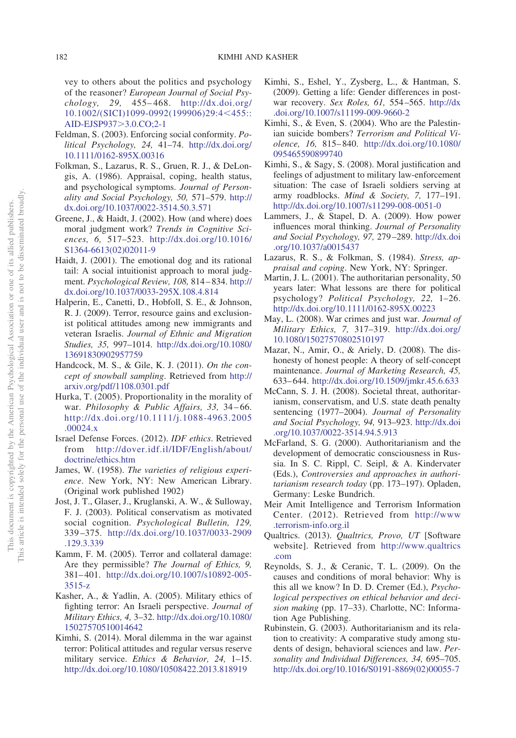vey to others about the politics and psychology of the reasoner? *European Journal of Social Psychology, 29,* 455–468. [http://dx.doi.org/](http://dx.doi.org/10.1002/%28SICI%291099-0992%28199906%2929:4%3C455::AID-EJSP937%3E3.0.CO;2-1) [10.1002/\(SICI\)1099-0992\(199906\)29:4](http://dx.doi.org/10.1002/%28SICI%291099-0992%28199906%2929:4%3C455::AID-EJSP937%3E3.0.CO;2-1)<455:: [AID-EJSP937](http://dx.doi.org/10.1002/%28SICI%291099-0992%28199906%2929:4%3C455::AID-EJSP937%3E3.0.CO;2-1)>3.0.CO;2-1

- <span id="page-13-11"></span>Feldman, S. (2003). Enforcing social conformity. *Political Psychology, 24,* 41–74. [http://dx.doi.org/](http://dx.doi.org/10.1111/0162-895X.00316) [10.1111/0162-895X.00316](http://dx.doi.org/10.1111/0162-895X.00316)
- <span id="page-13-23"></span>Folkman, S., Lazarus, R. S., Gruen, R. J., & DeLongis, A. (1986). Appraisal, coping, health status, and psychological symptoms. *Journal of Personality and Social Psychology, 50,* 571–579. [http://](http://dx.doi.org/10.1037/0022-3514.50.3.571) [dx.doi.org/10.1037/0022-3514.50.3.571](http://dx.doi.org/10.1037/0022-3514.50.3.571)
- <span id="page-13-7"></span>Greene, J., & Haidt, J. (2002). How (and where) does moral judgment work? *Trends in Cognitive Sciences, 6,* 517–523. [http://dx.doi.org/10.1016/](http://dx.doi.org/10.1016/S1364-6613%2802%2902011-9) [S1364-6613\(02\)02011-9](http://dx.doi.org/10.1016/S1364-6613%2802%2902011-9)
- <span id="page-13-5"></span>Haidt, J. (2001). The emotional dog and its rational tail: A social intuitionist approach to moral judgment. *Psychological Review, 108,* 814–834. [http://](http://dx.doi.org/10.1037/0033-295X.108.4.814) [dx.doi.org/10.1037/0033-295X.108.4.814](http://dx.doi.org/10.1037/0033-295X.108.4.814)
- <span id="page-13-14"></span>Halperin, E., Canetti, D., Hobfoll, S. E., & Johnson, R. J. (2009). Terror, resource gains and exclusionist political attitudes among new immigrants and veteran Israelis. *Journal of Ethnic and Migration Studies, 35,* 997–1014. [http://dx.doi.org/10.1080/](http://dx.doi.org/10.1080/13691830902957759) [13691830902957759](http://dx.doi.org/10.1080/13691830902957759)
- <span id="page-13-19"></span>Handcock, M. S., & Gile, K. J. (2011). *On the concept of snowball sampling*. Retrieved from [http://](http://arxiv.org/pdf/1108.0301.pdf) [arxiv.org/pdf/1108.0301.pdf](http://arxiv.org/pdf/1108.0301.pdf)
- <span id="page-13-2"></span>Hurka, T. (2005). Proportionality in the morality of war. *Philosophy & Public Affairs, 33,* 34–66. [http://dx.doi.org/10.1111/j.1088-4963.2005](http://dx.doi.org/10.1111/j.1088-4963.2005.00024.x) [.00024.x](http://dx.doi.org/10.1111/j.1088-4963.2005.00024.x)
- <span id="page-13-9"></span>Israel Defense Forces. (2012). *IDF ethics*. Retrieved from [http://dover.idf.il/IDF/English/about/](http://dover.idf.il/IDF/English/about/doctrine/ethics.htm) [doctrine/ethics.htm](http://dover.idf.il/IDF/English/about/doctrine/ethics.htm)
- <span id="page-13-13"></span>James, W. (1958). *The varieties of religious experience*. New York, NY: New American Library. (Original work published 1902)
- <span id="page-13-12"></span>Jost, J. T., Glaser, J., Kruglanski, A. W., & Sulloway, F. J. (2003). Political conservatism as motivated social cognition. *Psychological Bulletin, 129,* 339–375. [http://dx.doi.org/10.1037/0033-2909](http://dx.doi.org/10.1037/0033-2909.129.3.339) [.129.3.339](http://dx.doi.org/10.1037/0033-2909.129.3.339)
- <span id="page-13-0"></span>Kamm, F. M. (2005). Terror and collateral damage: Are they permissible? *The Journal of Ethics, 9,* 381–401. [http://dx.doi.org/10.1007/s10892-005-](http://dx.doi.org/10.1007/s10892-005-3515-z) [3515-z](http://dx.doi.org/10.1007/s10892-005-3515-z)
- <span id="page-13-1"></span>Kasher, A., & Yadlin, A. (2005). Military ethics of fighting terror: An Israeli perspective. *Journal of Military Ethics, 4,* 3–32. [http://dx.doi.org/10.1080/](http://dx.doi.org/10.1080/15027570510014642) [15027570510014642](http://dx.doi.org/10.1080/15027570510014642)
- <span id="page-13-10"></span>Kimhi, S. (2014). Moral dilemma in the war against terror: Political attitudes and regular versus reserve military service. *Ethics & Behavior, 24,* 1–15. <http://dx.doi.org/10.1080/10508422.2013.818919>
- <span id="page-13-24"></span>Kimhi, S., Eshel, Y., Zysberg, L., & Hantman, S. (2009). Getting a life: Gender differences in postwar recovery. *Sex Roles, 61,* 554–565. [http://dx](http://dx.doi.org/10.1007/s11199-009-9660-2) [.doi.org/10.1007/s11199-009-9660-2](http://dx.doi.org/10.1007/s11199-009-9660-2)
- <span id="page-13-26"></span>Kimhi, S., & Even, S. (2004). Who are the Palestinian suicide bombers? *Terrorism and Political Violence, 16,* 815–840. [http://dx.doi.org/10.1080/](http://dx.doi.org/10.1080/095465590899740) [095465590899740](http://dx.doi.org/10.1080/095465590899740)
- <span id="page-13-15"></span>Kimhi, S., & Sagy, S. (2008). Moral justification and feelings of adjustment to military law-enforcement situation: The case of Israeli soldiers serving at army roadblocks. *Mind & Society, 7,* 177–191. <http://dx.doi.org/10.1007/s11299-008-0051-0>
- <span id="page-13-4"></span>Lammers, J., & Stapel, D. A. (2009). How power influences moral thinking. *Journal of Personality and Social Psychology, 97,* 279–289. [http://dx.doi](http://dx.doi.org/10.1037/a0015437) [.org/10.1037/a0015437](http://dx.doi.org/10.1037/a0015437)
- <span id="page-13-22"></span>Lazarus, R. S., & Folkman, S. (1984). *Stress, appraisal and coping*. New York, NY: Springer.
- <span id="page-13-17"></span>Martin, J. L. (2001). The authoritarian personality, 50 years later: What lessons are there for political psychology? *Political Psychology, 22,* 1–26. <http://dx.doi.org/10.1111/0162-895X.00223>
- <span id="page-13-3"></span>May, L. (2008). War crimes and just war. *Journal of Military Ethics, 7,* 317–319. [http://dx.doi.org/](http://dx.doi.org/10.1080/15027570802510197) [10.1080/15027570802510197](http://dx.doi.org/10.1080/15027570802510197)
- <span id="page-13-8"></span>Mazar, N., Amir, O., & Ariely, D. (2008). The dishonesty of honest people: A theory of self-concept maintenance. *Journal of Marketing Research, 45,* 633–644. <http://dx.doi.org/10.1509/jmkr.45.6.633>
- <span id="page-13-18"></span>McCann, S. J. H. (2008). Societal threat, authoritarianism, conservatism, and U.S. state death penalty sentencing (1977–2004). *Journal of Personality and Social Psychology, 94,* 913–923. [http://dx.doi](http://dx.doi.org/10.1037/0022-3514.94.5.913) [.org/10.1037/0022-3514.94.5.913](http://dx.doi.org/10.1037/0022-3514.94.5.913)
- <span id="page-13-16"></span>McFarland, S. G. (2000). Authoritarianism and the development of democratic consciousness in Russia. In S. C. Rippl, C. Seipl, & A. Kindervater (Eds.), *Controversies and approaches in authoritarianism research today* (pp. 173–197). Opladen, Germany: Leske Bundrich.
- <span id="page-13-25"></span>Meir Amit Intelligence and Terrorism Information Center. (2012). Retrieved from [http://www](http://www.terrorism-info.org.il) [.terrorism-info.org.il](http://www.terrorism-info.org.il)
- <span id="page-13-20"></span>Qualtrics. (2013). *Qualtrics, Provo, UT* [Software website]. Retrieved from [http://www.qualtrics](http://www.qualtrics.com) [.com](http://www.qualtrics.com)
- <span id="page-13-6"></span>Reynolds, S. J., & Ceranic, T. L. (2009). On the causes and conditions of moral behavior: Why is this all we know? In D. D. Cremer (Ed.), *Psychological perspectives on ethical behavior and decision making* (pp. 17–33). Charlotte, NC: Information Age Publishing.
- <span id="page-13-21"></span>Rubinstein, G. (2003). Authoritarianism and its relation to creativity: A comparative study among students of design, behavioral sciences and law. *Personality and Individual Differences, 34,* 695–705. [http://dx.doi.org/10.1016/S0191-8869\(02\)00055-7](http://dx.doi.org/10.1016/S0191-8869%2802%2900055-7)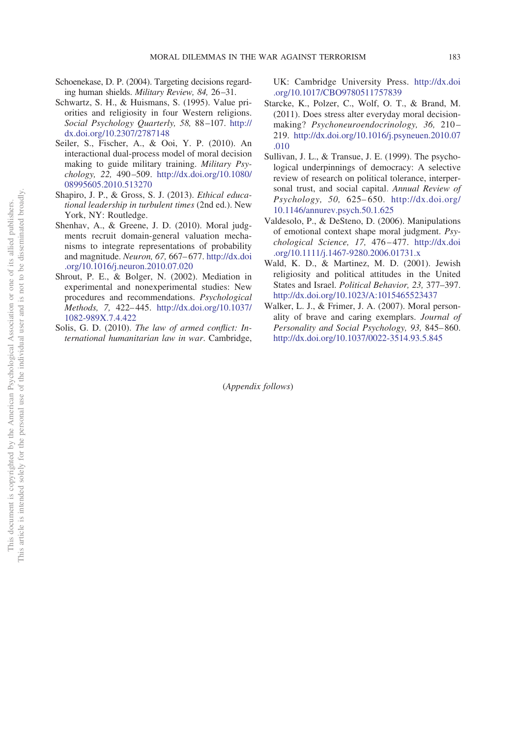- <span id="page-14-7"></span>Schoenekase, D. P. (2004). Targeting decisions regarding human shields. *Military Review, 84,* 26–31.
- <span id="page-14-9"></span>Schwartz, S. H., & Huismans, S. (1995). Value priorities and religiosity in four Western religions. *Social Psychology Quarterly, 58,* 88–107. [http://](http://dx.doi.org/10.2307/2787148) [dx.doi.org/10.2307/2787148](http://dx.doi.org/10.2307/2787148)
- <span id="page-14-4"></span>Seiler, S., Fischer, A., & Ooi, Y. P. (2010). An interactional dual-process model of moral decision making to guide military training. *Military Psychology, 22,* 490–509. [http://dx.doi.org/10.1080/](http://dx.doi.org/10.1080/08995605.2010.513270) [08995605.2010.513270](http://dx.doi.org/10.1080/08995605.2010.513270)
- <span id="page-14-1"></span>Shapiro, J. P., & Gross, S. J. (2013). *Ethical educational leadership in turbulent times* (2nd ed.). New York, NY: Routledge.
- <span id="page-14-5"></span>Shenhav, A., & Greene, J. D. (2010). Moral judgments recruit domain-general valuation mechanisms to integrate representations of probability and magnitude. *Neuron, 67,* 667–677. [http://dx.doi](http://dx.doi.org/10.1016/j.neuron.2010.07.020) [.org/10.1016/j.neuron.2010.07.020](http://dx.doi.org/10.1016/j.neuron.2010.07.020)
- <span id="page-14-11"></span>Shrout, P. E., & Bolger, N. (2002). Mediation in experimental and nonexperimental studies: New procedures and recommendations. *Psychological Methods, 7,* 422–445. [http://dx.doi.org/10.1037/](http://dx.doi.org/10.1037/1082-989X.7.4.422) [1082-989X.7.4.422](http://dx.doi.org/10.1037/1082-989X.7.4.422)
- <span id="page-14-0"></span>Solis, G. D. (2010). *The law of armed conflict: International humanitarian law in war*. Cambridge,

UK: Cambridge University Press. [http://dx.doi](http://dx.doi.org/10.1017/CBO9780511757839) [.org/10.1017/CBO9780511757839](http://dx.doi.org/10.1017/CBO9780511757839)

- <span id="page-14-3"></span>Starcke, K., Polzer, C., Wolf, O. T., & Brand, M. (2011). Does stress alter everyday moral decisionmaking? *Psychoneuroendocrinology, 36,* 210– 219. [http://dx.doi.org/10.1016/j.psyneuen.2010.07](http://dx.doi.org/10.1016/j.psyneuen.2010.07.010) [.010](http://dx.doi.org/10.1016/j.psyneuen.2010.07.010)
- <span id="page-14-8"></span>Sullivan, J. L., & Transue, J. E. (1999). The psychological underpinnings of democracy: A selective review of research on political tolerance, interpersonal trust, and social capital. *Annual Review of Psychology, 50,* 625–650. [http://dx.doi.org/](http://dx.doi.org/10.1146/annurev.psych.50.1.625) [10.1146/annurev.psych.50.1.625](http://dx.doi.org/10.1146/annurev.psych.50.1.625)
- <span id="page-14-2"></span>Valdesolo, P., & DeSteno, D. (2006). Manipulations of emotional context shape moral judgment. *Psychological Science, 17,* 476–477. [http://dx.doi](http://dx.doi.org/10.1111/j.1467-9280.2006.01731.x) [.org/10.1111/j.1467-9280.2006.01731.x](http://dx.doi.org/10.1111/j.1467-9280.2006.01731.x)
- <span id="page-14-10"></span>Wald, K. D., & Martinez, M. D. (2001). Jewish religiosity and political attitudes in the United States and Israel. *Political Behavior, 23,* 377–397. <http://dx.doi.org/10.1023/A:1015465523437>
- <span id="page-14-6"></span>Walker, L. J., & Frimer, J. A. (2007). Moral personality of brave and caring exemplars. *Journal of Personality and Social Psychology, 93,* 845–860. <http://dx.doi.org/10.1037/0022-3514.93.5.845>

(*Appendix follows*)